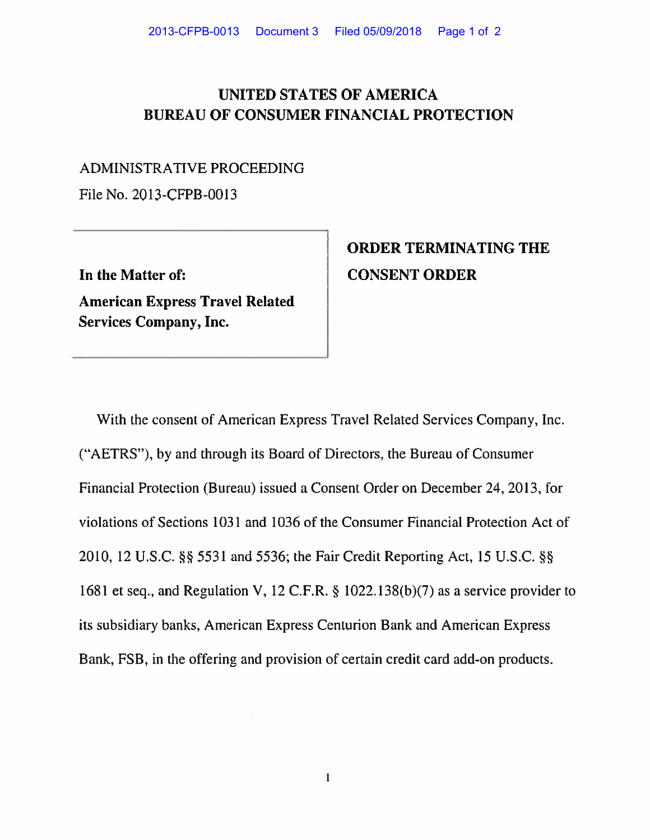## **UNITED STATES OF AMERICA BUREAU OF CONSUMER FINANCIAL PROTECTION**

## ADMINISTRATIVE PROCEEDING

File No. 2013-CFPB-0013

**In the Matter of:** 

**American Express Travel Related Services Company, Inc.** 

## **ORDER TERMINATING THE CONSENT ORDER**

With the consent of American Express Travel Related Services Company, Inc. ("AETRS"), by and through its Board of Directors, the Bureau of Consumer Financial Protection (Bureau) issued a Consent Order on December 24, 2013, for violations of Sections 1031 and 1036 of the Consumer Financial Protection Act of 2010, 12 U.S.C. §§ 5531 and 5536; the Fair Credit Reporting Act, 15 U.S.C. §§ 1681 et seq., and Regulation V, 12 C.F.R. § 1022.138(b)(7) as a service provider to its subsidiary banks, American Express Centurion Bank and American Express Bank, FSB, in the offering and provision of certain credit card add-on products.